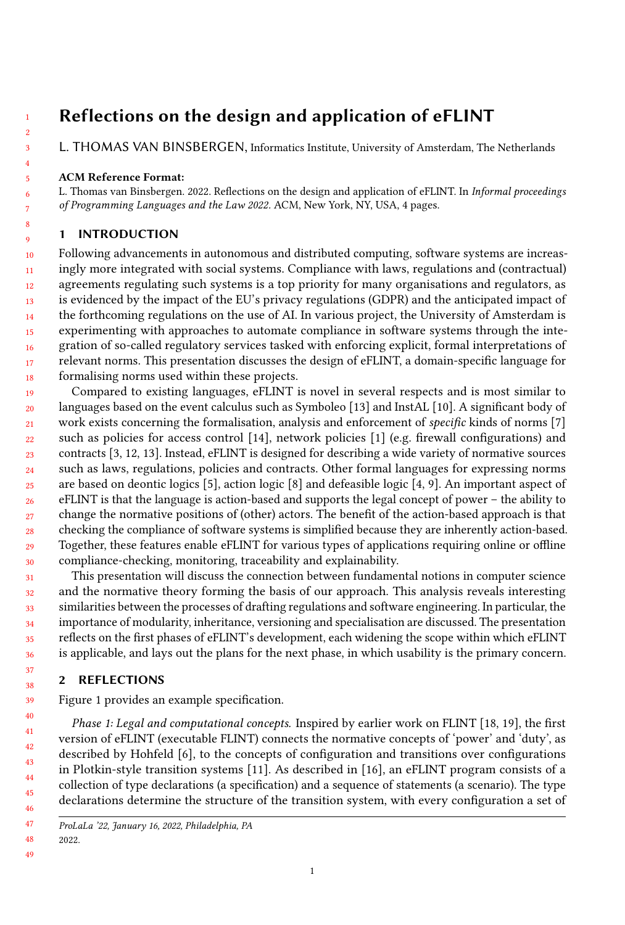# Reflections on the design and application of eFLINT

[L. THOMAS VAN BINSBERGEN,](HTTPS://ORCID.ORG/0000-0001-8113-2221) Informatics Institute, University of Amsterdam, The Netherlands

### ACM Reference Format:

L. Thomas van Binsbergen. 2022. Reflections on the design and application of eFLINT. In Informal proceedings of Programming Languages and the Law 2022. ACM, New York, NY, USA, [4](#page-3-0) pages.

## 1 INTRODUCTION

10 11 12 13 14 15 16 17 18 Following advancements in autonomous and distributed computing, software systems are increasingly more integrated with social systems. Compliance with laws, regulations and (contractual) agreements regulating such systems is a top priority for many organisations and regulators, as is evidenced by the impact of the EU's privacy regulations (GDPR) and the anticipated impact of the forthcoming regulations on the use of AI. In various project, the University of Amsterdam is experimenting with approaches to automate compliance in software systems through the integration of so-called regulatory services tasked with enforcing explicit, formal interpretations of relevant norms. This presentation discusses the design of eFLINT, a domain-specific language for formalising norms used within these projects.

19  $20$  $21$ 22 23 24 25 26 27 28 29 30 Compared to existing languages, eFLINT is novel in several respects and is most similar to languages based on the event calculus such as Symboleo [\[13\]](#page-3-1) and InstAL [\[10\]](#page-3-2). A significant body of work exists concerning the formalisation, analysis and enforcement of specific kinds of norms [\[7\]](#page-3-3) such as policies for access control [\[14\]](#page-3-4), network policies [\[1\]](#page-3-5) (e.g. firewall configurations) and contracts [\[3,](#page-3-6) [12,](#page-3-7) [13\]](#page-3-1). Instead, eFLINT is designed for describing a wide variety of normative sources such as laws, regulations, policies and contracts. Other formal languages for expressing norms are based on deontic logics [\[5\]](#page-3-8), action logic [\[8\]](#page-3-9) and defeasible logic [\[4,](#page-3-10) [9\]](#page-3-11). An important aspect of eFLINT is that the language is action-based and supports the legal concept of power – the ability to change the normative positions of (other) actors. The benefit of the action-based approach is that checking the compliance of software systems is simplified because they are inherently action-based. Together, these features enable eFLINT for various types of applications requiring online or offline compliance-checking, monitoring, traceability and explainability.

This presentation will discuss the connection between fundamental notions in computer science and the normative theory forming the basis of our approach. This analysis reveals interesting similarities between the processes of drafting regulations and software engineering. In particular, the importance of modularity, inheritance, versioning and specialisation are discussed. The presentation reflects on the first phases of eFLINT's development, each widening the scope within which eFLINT is applicable, and lays out the plans for the next phase, in which usability is the primary concern.

## 2 REFLECTIONS

Figure [1](#page-1-0) provides an example specification.

Phase 1: Legal and computational concepts. Inspired by earlier work on FLINT [\[18,](#page-3-12) [19\]](#page-3-13), the first version of eFLINT (executable FLINT) connects the normative concepts of 'power' and 'duty', as described by Hohfeld [\[6\]](#page-3-14), to the concepts of configuration and transitions over configurations in Plotkin-style transition systems [\[11\]](#page-3-15). As described in [\[16\]](#page-3-16), an eFLINT program consists of a collection of type declarations (a specification) and a sequence of statements (a scenario). The type declarations determine the structure of the transition system, with every configuration a set of

2022.

ProLaLa '22, January 16, 2022, Philadelphia, PA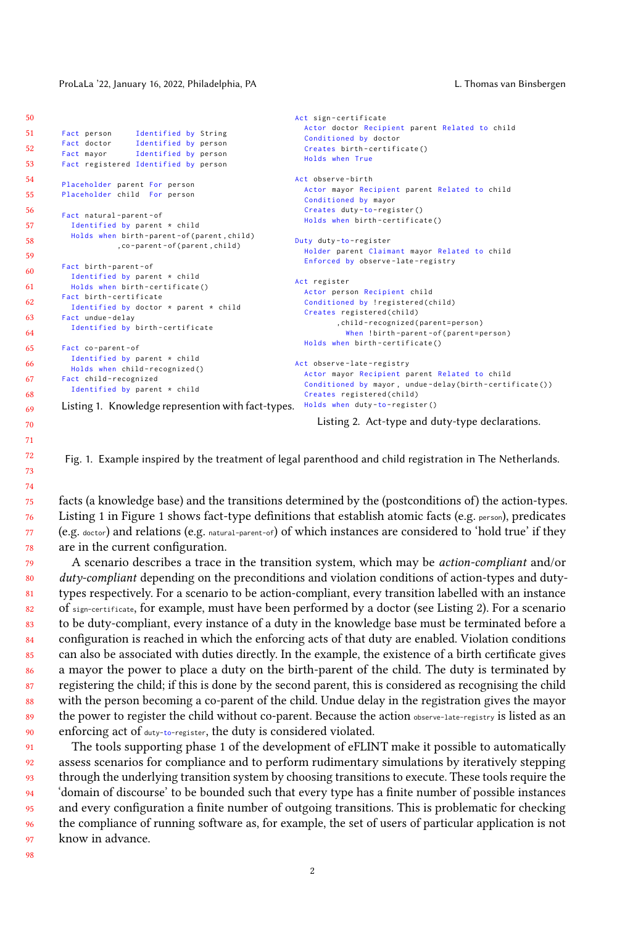### <span id="page-1-0"></span>ProLaLa '22, January 16, 2022, Philadelphia, PA L. Thomas van Binsbergen

```
50
51
52
53
54
55
56
57
58
59
60
61
62
63
64
65
66
67
68
69
        Fact person Identified by String
        Fact doctor Identified by person
        Fact mayor Identified by person
        Fact registered Identified by person
        Placeholder parent For person
        Placeholder child For person
        Fact natural-parent-of
          Identified by parent * child
          Holds when birth-parent-of (parent, child)
                    ,co - parent - of ( parent , child )
        Fact birth - parent - of
          Identified by parent * child
          Holds when birth - certificate ()
        Fact birth - certificate
          Identified by doctor * parent * child
        Fact undue - delay
         Identified by birth-certificate
        Fact co - parent - of
          Identified by parent * child
          Holds when child-recognized ()
        Fact child - recognized
          Identified by parent * child
        Listing 1. Knowledge represention with fact-types. Holds when duty-to-register ()
                                                            Act sign - certificate
                                                              Actor doctor Recipient parent Related to child
                                                              Conditioned by doctor
                                                              Creates birth-certificate()
                                                              Holds when True
                                                            Act observe-birth
                                                              Actor mayor Recipient parent Related to child
                                                              Conditioned by mayor
                                                               Creates duty-to-register()
                                                              Holds when birth-certificate ()Duty duty-to-register
                                                              Holder parent Claimant mayor Related to child
                                                              Enforced by observe - late - registry
                                                            Act register
                                                              Actor person Recipient child
                                                               Conditioned by ! registered ( child )
                                                              Creates registered ( child )
                                                                     , child - recognized ( parent = person )
                                                                       When !birth-parent-of(parent=person)
                                                              Holds when birth-certificate()
                                                            Act observe-late-registry
                                                              Actor mayor Recipient parent Related to child
                                                               Conditioned by mayor, undue-delay (birth-certificate ())
                                                               Creates registered (child)
```
Listing 2. Act-type and duty-type declarations.

Fig. 1. Example inspired by the treatment of legal parenthood and child registration in The Netherlands.

facts (a knowledge base) and the transitions determined by the (postconditions of) the action-types. Listing 1 in Figure [1](#page-1-0) shows fact-type definitions that establish atomic facts (e.g. person), predicates (e.g. doctor) and relations (e.g. natural-parent-of) of which instances are considered to 'hold true' if they are in the current configuration.

79 80 81 82 83 84 85 86 87 88 89 90 A scenario describes a trace in the transition system, which may be action-compliant and/or  $duty$ -compliant depending on the preconditions and violation conditions of action-types and dutytypes respectively. For a scenario to be action-compliant, every transition labelled with an instance of sign-certificate, for example, must have been performed by a doctor (see Listing 2). For a scenario to be duty-compliant, every instance of a duty in the knowledge base must be terminated before a configuration is reached in which the enforcing acts of that duty are enabled. Violation conditions can also be associated with duties directly. In the example, the existence of a birth certificate gives a mayor the power to place a duty on the birth-parent of the child. The duty is terminated by registering the child; if this is done by the second parent, this is considered as recognising the child with the person becoming a co-parent of the child. Undue delay in the registration gives the mayor the power to register the child without co-parent. Because the action observe-late-registry is listed as an enforcing act of duty-to-register, the duty is considered violated.

91 92 93 94 95 96 **97** The tools supporting phase 1 of the development of eFLINT make it possible to automatically assess scenarios for compliance and to perform rudimentary simulations by iteratively stepping through the underlying transition system by choosing transitions to execute. These tools require the 'domain of discourse' to be bounded such that every type has a finite number of possible instances and every configuration a finite number of outgoing transitions. This is problematic for checking the compliance of running software as, for example, the set of users of particular application is not know in advance.

98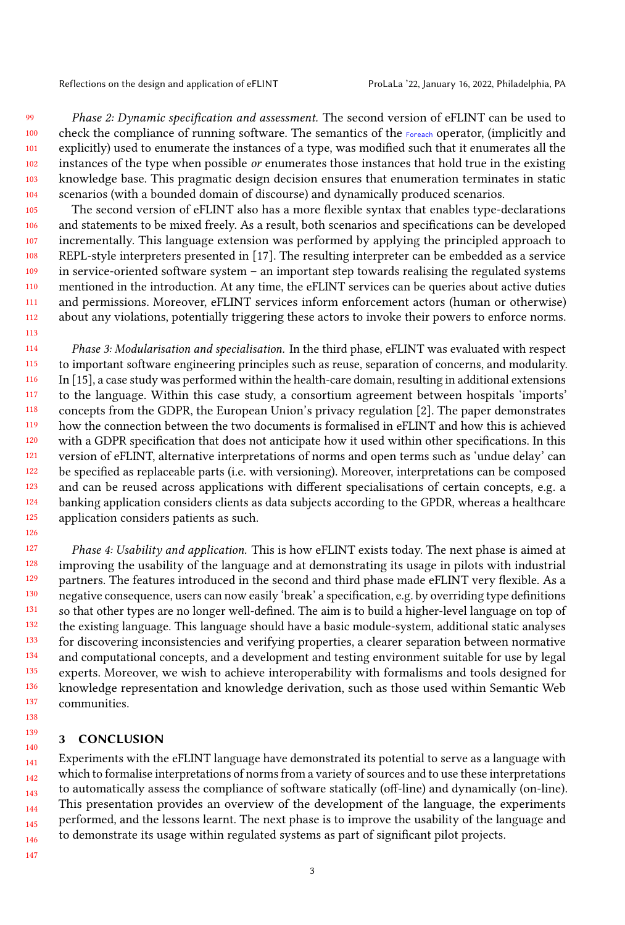Reflections on the design and application of eFLINT ProLaLa '22, January 16, 2022, Philadelphia, PA

99

113

126

100 101 102 103 104 Phase 2: Dynamic specification and assessment. The second version of eFLINT can be used to check the compliance of running software. The semantics of the Foreach operator, (implicitly and explicitly) used to enumerate the instances of a type, was modified such that it enumerates all the instances of the type when possible or enumerates those instances that hold true in the existing knowledge base. This pragmatic design decision ensures that enumeration terminates in static scenarios (with a bounded domain of discourse) and dynamically produced scenarios.

105 106 107 108 109 110 111 112 The second version of eFLINT also has a more flexible syntax that enables type-declarations and statements to be mixed freely. As a result, both scenarios and specifications can be developed incrementally. This language extension was performed by applying the principled approach to REPL-style interpreters presented in [\[17\]](#page-3-17). The resulting interpreter can be embedded as a service in service-oriented software system – an important step towards realising the regulated systems mentioned in the introduction. At any time, the eFLINT services can be queries about active duties and permissions. Moreover, eFLINT services inform enforcement actors (human or otherwise) about any violations, potentially triggering these actors to invoke their powers to enforce norms.

114 115 116 117 118 119 120 121 122 123 124 125 Phase 3: Modularisation and specialisation. In the third phase, eFLINT was evaluated with respect to important software engineering principles such as reuse, separation of concerns, and modularity. In [\[15\]](#page-3-18), a case study was performed within the health-care domain, resulting in additional extensions to the language. Within this case study, a consortium agreement between hospitals 'imports' concepts from the GDPR, the European Union's privacy regulation [\[2\]](#page-3-19). The paper demonstrates how the connection between the two documents is formalised in eFLINT and how this is achieved with a GDPR specification that does not anticipate how it used within other specifications. In this version of eFLINT, alternative interpretations of norms and open terms such as 'undue delay' can be specified as replaceable parts (i.e. with versioning). Moreover, interpretations can be composed and can be reused across applications with different specialisations of certain concepts, e.g. a banking application considers clients as data subjects according to the GPDR, whereas a healthcare application considers patients as such.

127 128 129 130 131 132 133 134 135 136 137 Phase 4: Usability and application. This is how eFLINT exists today. The next phase is aimed at improving the usability of the language and at demonstrating its usage in pilots with industrial partners. The features introduced in the second and third phase made eFLINT very flexible. As a negative consequence, users can now easily 'break' a specification, e.g. by overriding type definitions so that other types are no longer well-defined. The aim is to build a higher-level language on top of the existing language. This language should have a basic module-system, additional static analyses for discovering inconsistencies and verifying properties, a clearer separation between normative and computational concepts, and a development and testing environment suitable for use by legal experts. Moreover, we wish to achieve interoperability with formalisms and tools designed for knowledge representation and knowledge derivation, such as those used within Semantic Web communities.

### 3 CONCLUSION

141 142 143 144 145 146 Experiments with the eFLINT language have demonstrated its potential to serve as a language with which to formalise interpretations of norms from a variety of sources and to use these interpretations to automatically assess the compliance of software statically (off-line) and dynamically (on-line). This presentation provides an overview of the development of the language, the experiments performed, and the lessons learnt. The next phase is to improve the usability of the language and to demonstrate its usage within regulated systems as part of significant pilot projects.

147

138 139 140